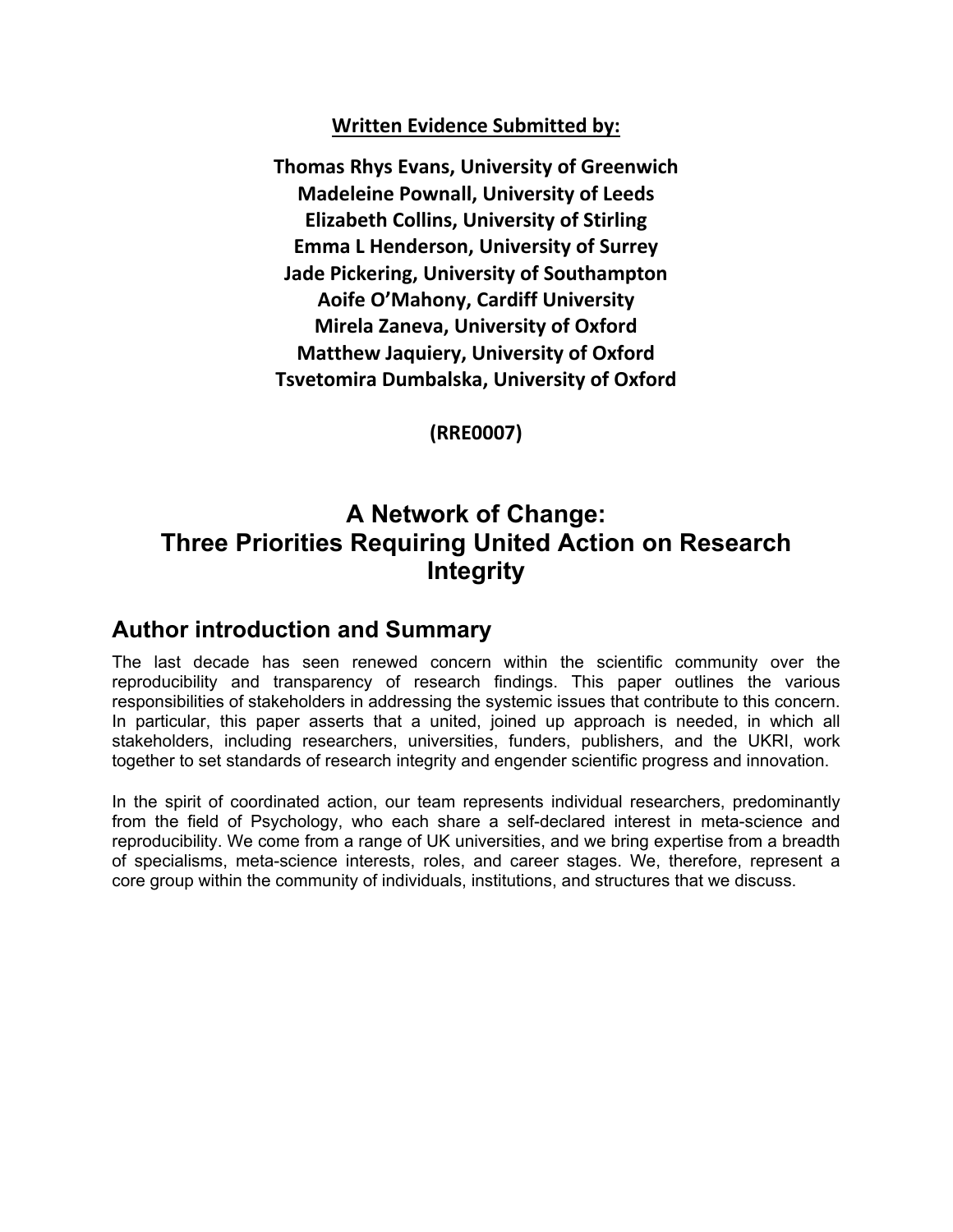#### **Written Evidence Submitted by:**

**Thomas Rhys Evans, University of Greenwich Madeleine Pownall, University of Leeds Elizabeth Collins, University of Stirling Emma L Henderson, University of Surrey Jade Pickering, University of Southampton Aoife O'Mahony, Cardiff University Mirela Zaneva, University of Oxford Matthew Jaquiery, University of Oxford Tsvetomira Dumbalska, University of Oxford**

**(RRE0007)**

### **A Network of Change: Three Priorities Requiring United Action on Research Integrity**

### **Author introduction and Summary**

The last decade has seen renewed concern within the scientific community over the reproducibility and transparency of research findings. This paper outlines the various responsibilities of stakeholders in addressing the systemic issues that contribute to this concern. In particular, this paper asserts that a united, joined up approach is needed, in which all stakeholders, including researchers, universities, funders, publishers, and the UKRI, work together to set standards of research integrity and engender scientific progress and innovation.

In the spirit of coordinated action, our team represents individual researchers, predominantly from the field of Psychology, who each share a self-declared interest in meta-science and reproducibility. We come from a range of UK universities, and we bring expertise from a breadth of specialisms, meta-science interests, roles, and career stages. We, therefore, represent a core group within the community of individuals, institutions, and structures that we discuss.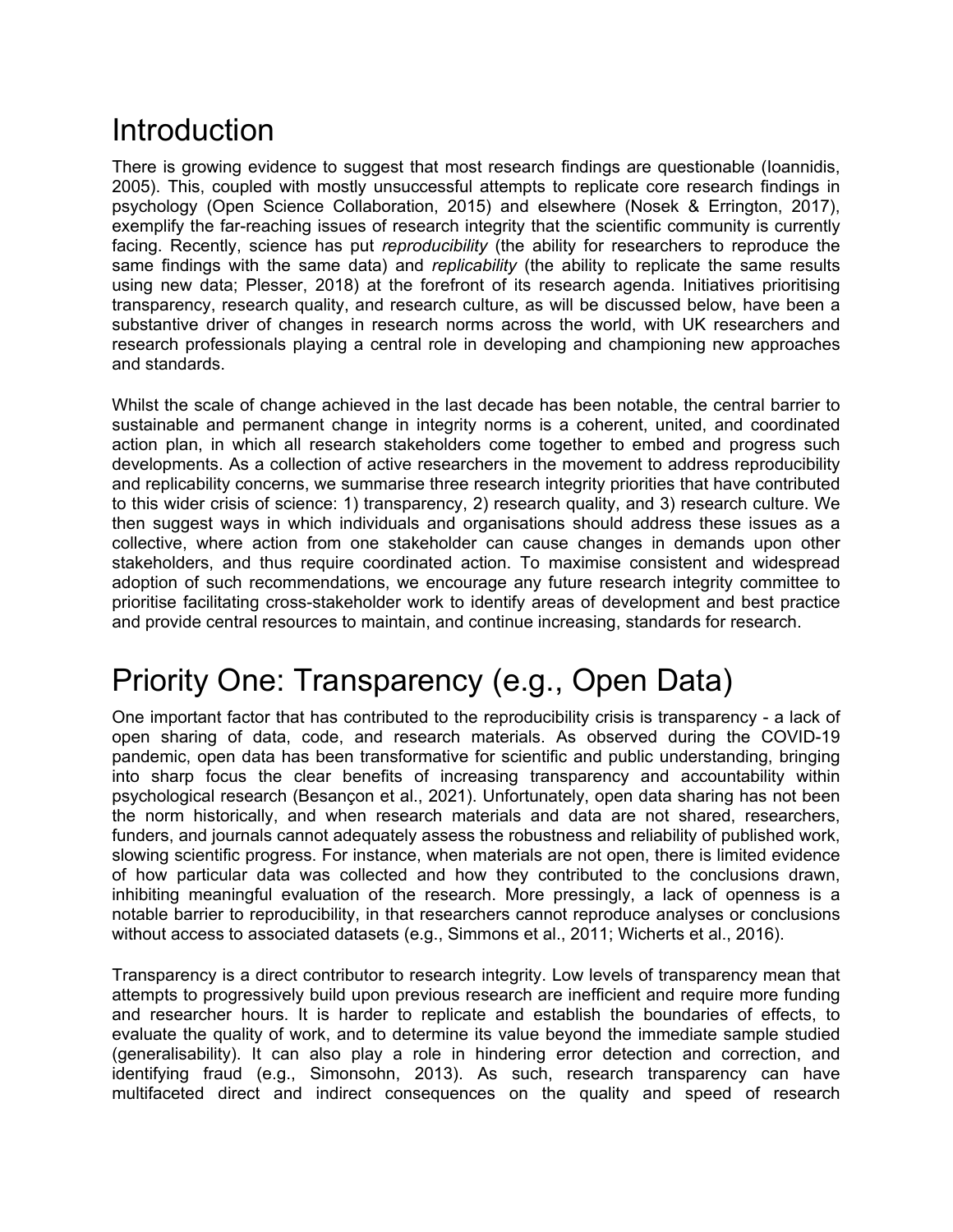# **Introduction**

There is growing evidence to suggest that most research findings are questionable (Ioannidis, 2005). This, coupled with mostly unsuccessful attempts to replicate core research findings in psychology (Open Science Collaboration, 2015) and elsewhere (Nosek & Errington, 2017), exemplify the far-reaching issues of research integrity that the scientific community is currently facing. Recently, science has put *reproducibility* (the ability for researchers to reproduce the same findings with the same data) and *replicability* (the ability to replicate the same results using new data; Plesser, 2018) at the forefront of its research agenda. Initiatives prioritising transparency, research quality, and research culture, as will be discussed below, have been a substantive driver of changes in research norms across the world, with UK researchers and research professionals playing a central role in developing and championing new approaches and standards.

Whilst the scale of change achieved in the last decade has been notable, the central barrier to sustainable and permanent change in integrity norms is a coherent, united, and coordinated action plan, in which all research stakeholders come together to embed and progress such developments. As a collection of active researchers in the movement to address reproducibility and replicability concerns, we summarise three research integrity priorities that have contributed to this wider crisis of science: 1) transparency, 2) research quality, and 3) research culture. We then suggest ways in which individuals and organisations should address these issues as a collective, where action from one stakeholder can cause changes in demands upon other stakeholders, and thus require coordinated action. To maximise consistent and widespread adoption of such recommendations, we encourage any future research integrity committee to prioritise facilitating cross-stakeholder work to identify areas of development and best practice and provide central resources to maintain, and continue increasing, standards for research.

# Priority One: Transparency (e.g., Open Data)

One important factor that has contributed to the reproducibility crisis is transparency - a lack of open sharing of data, code, and research materials. As observed during the COVID-19 pandemic, open data has been transformative for scientific and public understanding, bringing into sharp focus the clear benefits of increasing transparency and accountability within psychological research (Besançon et al., 2021). Unfortunately, open data sharing has not been the norm historically, and when research materials and data are not shared, researchers, funders, and journals cannot adequately assess the robustness and reliability of published work, slowing scientific progress. For instance, when materials are not open, there is limited evidence of how particular data was collected and how they contributed to the conclusions drawn, inhibiting meaningful evaluation of the research. More pressingly, a lack of openness is a notable barrier to reproducibility, in that researchers cannot reproduce analyses or conclusions without access to associated datasets (e.g., Simmons et al., 2011; Wicherts et al., 2016).

Transparency is a direct contributor to research integrity. Low levels of transparency mean that attempts to progressively build upon previous research are inefficient and require more funding and researcher hours. It is harder to replicate and establish the boundaries of effects, to evaluate the quality of work, and to determine its value beyond the immediate sample studied (generalisability). It can also play a role in hindering error detection and correction, and identifying fraud (e.g., Simonsohn, 2013). As such, research transparency can have multifaceted direct and indirect consequences on the quality and speed of research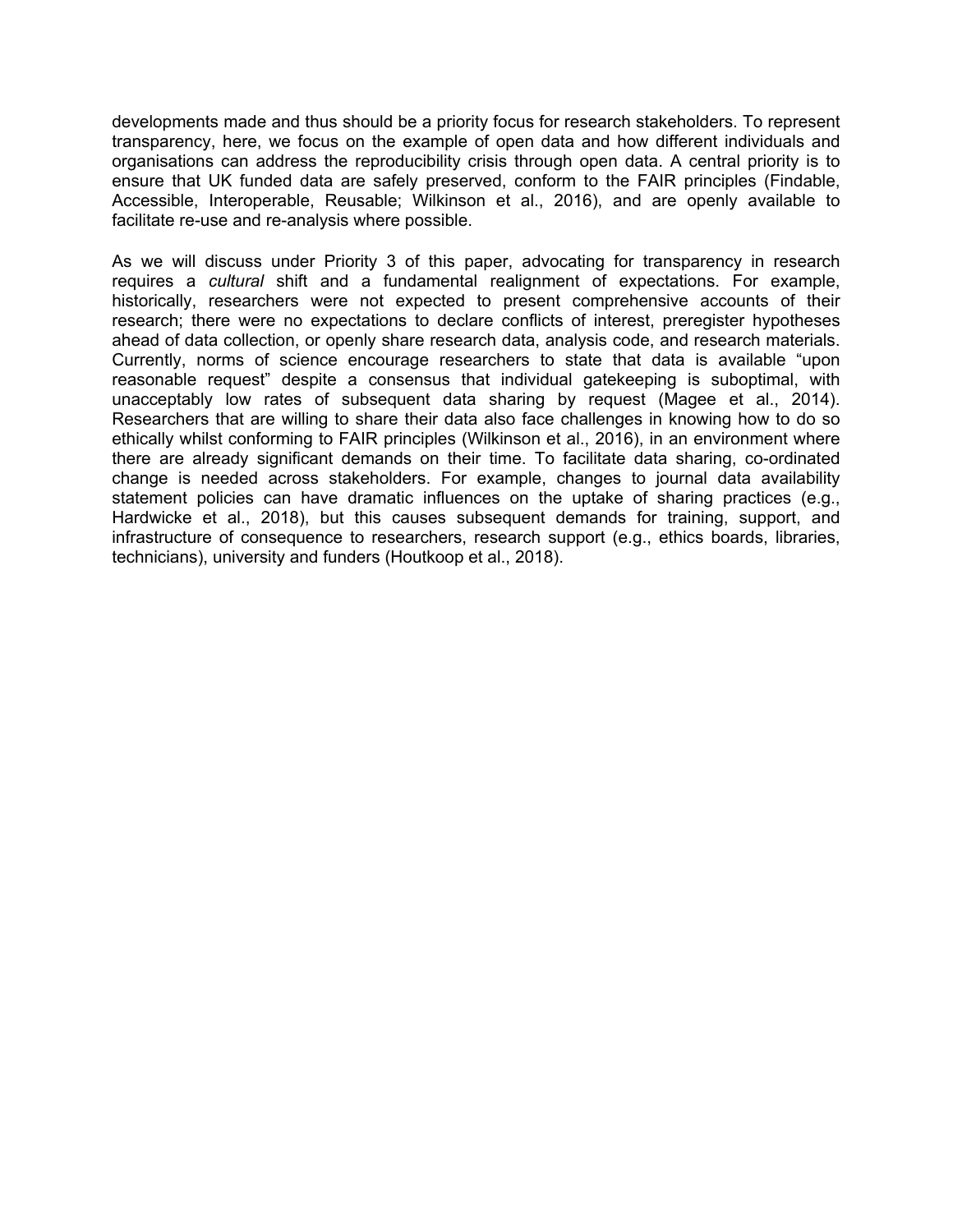developments made and thus should be a priority focus for research stakeholders. To represent transparency, here, we focus on the example of open data and how different individuals and organisations can address the reproducibility crisis through open data. A central priority is to ensure that UK funded data are safely preserved, conform to the FAIR principles (Findable, Accessible, Interoperable, Reusable; Wilkinson et al., 2016), and are openly available to facilitate re-use and re-analysis where possible.

As we will discuss under Priority 3 of this paper, advocating for transparency in research requires a *cultural* shift and a fundamental realignment of expectations. For example, historically, researchers were not expected to present comprehensive accounts of their research; there were no expectations to declare conflicts of interest, preregister hypotheses ahead of data collection, or openly share research data, analysis code, and research materials. Currently, norms of science encourage researchers to state that data is available "upon reasonable request" despite a consensus that individual gatekeeping is suboptimal, with unacceptably low rates of subsequent data sharing by request (Magee et al., 2014). Researchers that are willing to share their data also face challenges in knowing how to do so ethically whilst conforming to FAIR principles (Wilkinson et al., 2016), in an environment where there are already significant demands on their time. To facilitate data sharing, co-ordinated change is needed across stakeholders. For example, changes to journal data availability statement policies can have dramatic influences on the uptake of sharing practices (e.g., Hardwicke et al., 2018), but this causes subsequent demands for training, support, and infrastructure of consequence to researchers, research support (e.g., ethics boards, libraries, technicians), university and funders (Houtkoop et al., 2018).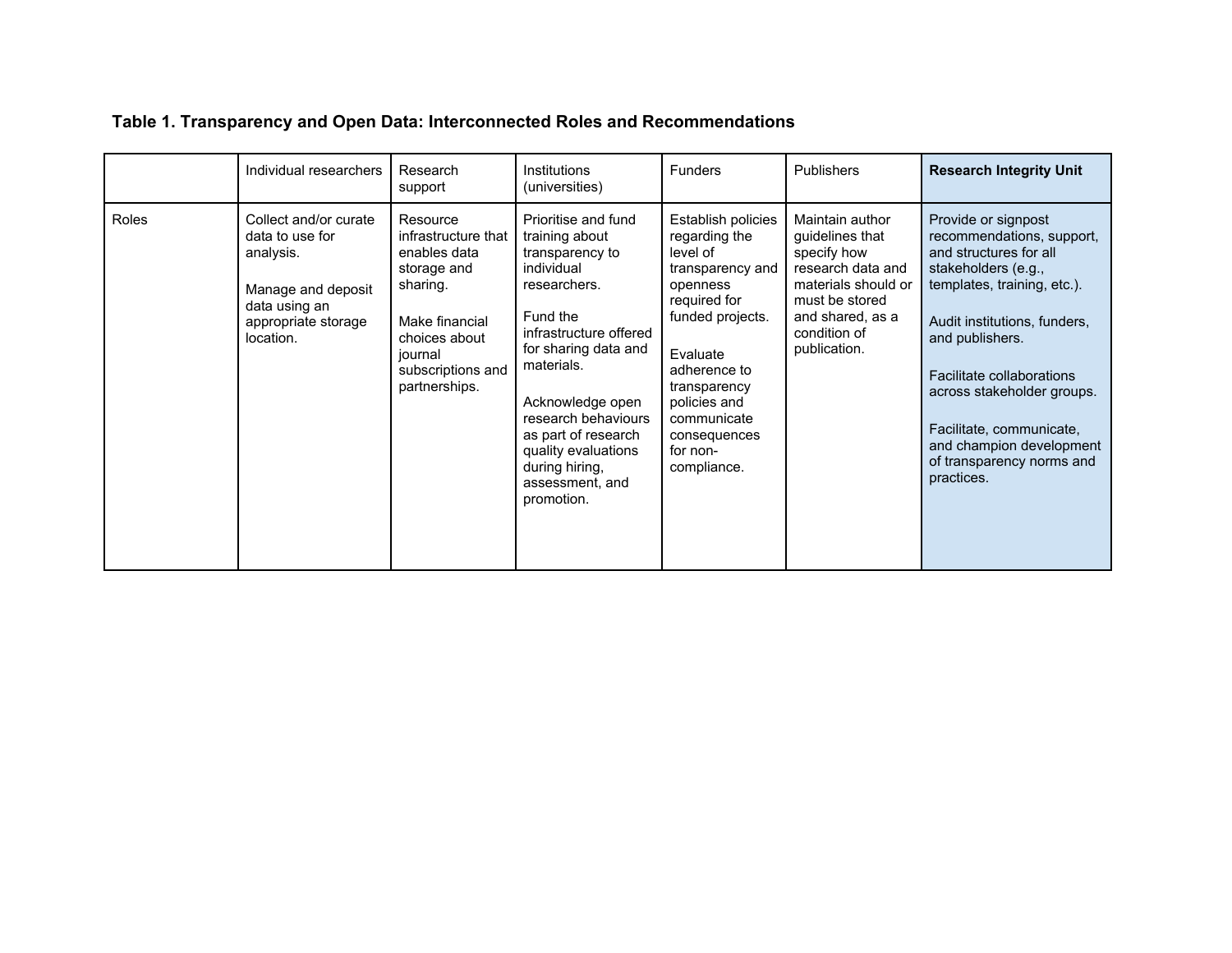| Table 1. Transparency and Open Data: Interconnected Roles and Recommendations |  |  |  |  |  |  |  |  |  |
|-------------------------------------------------------------------------------|--|--|--|--|--|--|--|--|--|
|-------------------------------------------------------------------------------|--|--|--|--|--|--|--|--|--|

|       | Individual researchers                                                                                                           | Research<br>support                                                                                                                                            | Institutions<br>(universities)                                                                                                                                                                                                                                                                                 | <b>Funders</b>                                                                                                                                                                                                                            | Publishers                                                                                                                                                          | <b>Research Integrity Unit</b>                                                                                                                                                                                                                                                                                                                    |
|-------|----------------------------------------------------------------------------------------------------------------------------------|----------------------------------------------------------------------------------------------------------------------------------------------------------------|----------------------------------------------------------------------------------------------------------------------------------------------------------------------------------------------------------------------------------------------------------------------------------------------------------------|-------------------------------------------------------------------------------------------------------------------------------------------------------------------------------------------------------------------------------------------|---------------------------------------------------------------------------------------------------------------------------------------------------------------------|---------------------------------------------------------------------------------------------------------------------------------------------------------------------------------------------------------------------------------------------------------------------------------------------------------------------------------------------------|
| Roles | Collect and/or curate<br>data to use for<br>analysis.<br>Manage and deposit<br>data using an<br>appropriate storage<br>location. | Resource<br>infrastructure that<br>enables data<br>storage and<br>sharing.<br>Make financial<br>choices about<br>journal<br>subscriptions and<br>partnerships. | Prioritise and fund<br>training about<br>transparency to<br>individual<br>researchers.<br>Fund the<br>infrastructure offered<br>for sharing data and<br>materials.<br>Acknowledge open<br>research behaviours<br>as part of research<br>quality evaluations<br>during hiring,<br>assessment, and<br>promotion. | Establish policies<br>regarding the<br>level of<br>transparency and<br>openness<br>required for<br>funded projects.<br>Evaluate<br>adherence to<br>transparency<br>policies and<br>communicate<br>consequences<br>for non-<br>compliance. | Maintain author<br>quidelines that<br>specify how<br>research data and<br>materials should or<br>must be stored<br>and shared, as a<br>condition of<br>publication. | Provide or signpost<br>recommendations, support,<br>and structures for all<br>stakeholders (e.g.,<br>templates, training, etc.).<br>Audit institutions, funders,<br>and publishers.<br>Facilitate collaborations<br>across stakeholder groups.<br>Facilitate, communicate,<br>and champion development<br>of transparency norms and<br>practices. |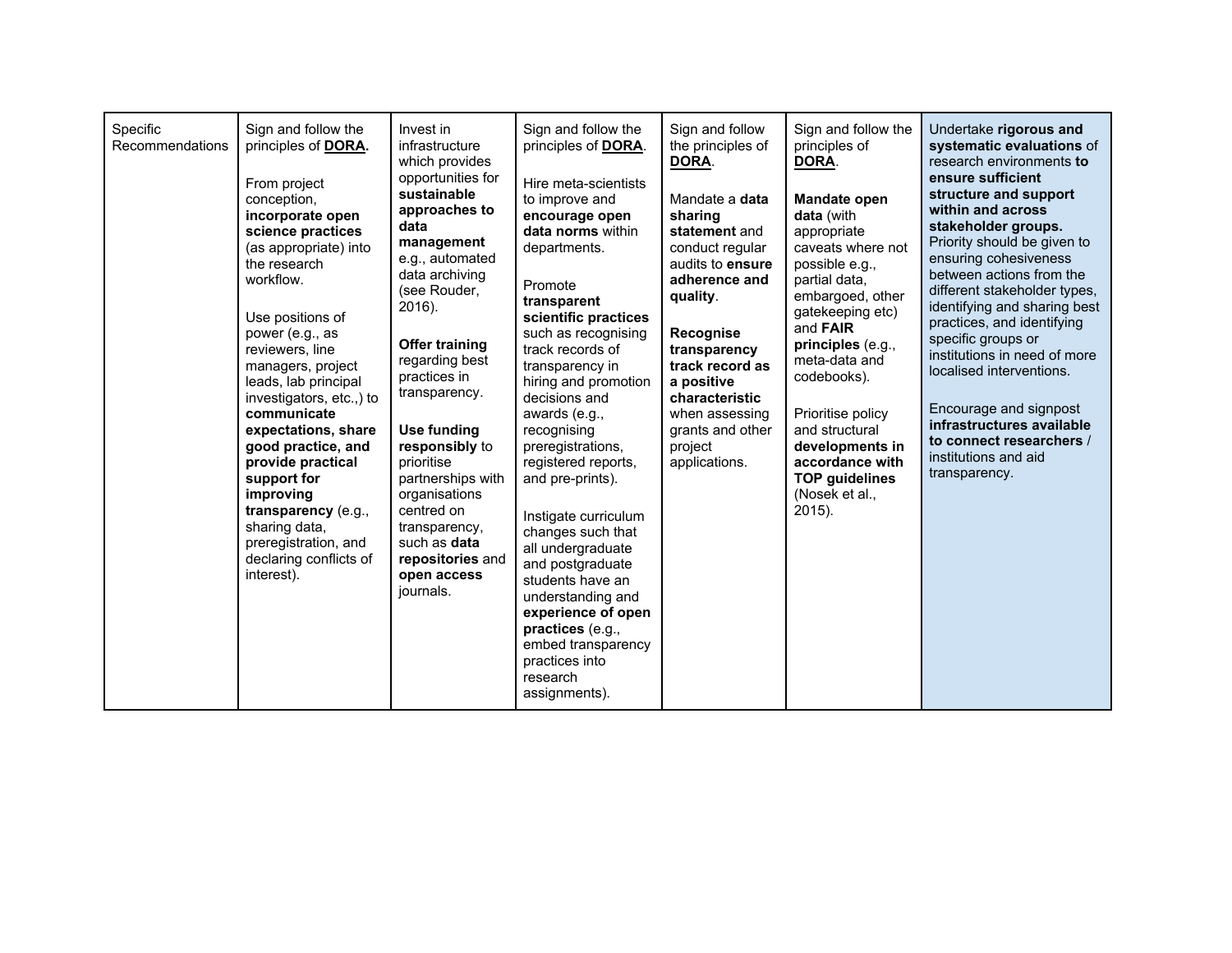| Specific<br>Recommendations | Sign and follow the<br>principles of DORA.<br>From project<br>conception,<br>incorporate open<br>science practices<br>(as appropriate) into<br>the research<br>workflow.<br>Use positions of<br>power (e.g., as<br>reviewers, line<br>managers, project<br>leads, lab principal<br>investigators, etc.,) to<br>communicate<br>expectations, share<br>good practice, and<br>provide practical<br>support for<br>improving<br>transparency (e.g.,<br>sharing data,<br>preregistration, and<br>declaring conflicts of<br>interest). | Invest in<br>infrastructure<br>which provides<br>opportunities for<br>sustainable<br>approaches to<br>data<br>management<br>e.g., automated<br>data archiving<br>(see Rouder,<br>2016).<br><b>Offer training</b><br>regarding best<br>practices in<br>transparency.<br>Use funding<br>responsibly to<br>prioritise<br>partnerships with<br>organisations<br>centred on<br>transparency,<br>such as data<br>repositories and<br>open access<br>journals. | Sign and follow the<br>principles of <b>DORA</b> .<br>Hire meta-scientists<br>to improve and<br>encourage open<br>data norms within<br>departments.<br>Promote<br>transparent<br>scientific practices<br>such as recognising<br>track records of<br>transparency in<br>hiring and promotion<br>decisions and<br>awards (e.g.,<br>recognising<br>preregistrations,<br>registered reports,<br>and pre-prints).<br>Instigate curriculum<br>changes such that<br>all undergraduate<br>and postgraduate<br>students have an<br>understanding and<br>experience of open<br>practices (e.g.,<br>embed transparency<br>practices into<br>research<br>assignments). | Sign and follow<br>the principles of<br>DORA.<br>Mandate a data<br>sharing<br>statement and<br>conduct regular<br>audits to ensure<br>adherence and<br>quality.<br>Recognise<br>transparency<br>track record as<br>a positive<br>characteristic<br>when assessing<br>grants and other<br>project<br>applications. | Sign and follow the<br>principles of<br>DORA.<br>Mandate open<br>data (with<br>appropriate<br>caveats where not<br>possible e.g.,<br>partial data,<br>embargoed, other<br>gatekeeping etc)<br>and <b>FAIR</b><br>principles (e.g.,<br>meta-data and<br>codebooks).<br>Prioritise policy<br>and structural<br>developments in<br>accordance with<br><b>TOP guidelines</b><br>(Nosek et al.,<br>2015). | Undertake rigorous and<br>systematic evaluations of<br>research environments to<br>ensure sufficient<br>structure and support<br>within and across<br>stakeholder groups.<br>Priority should be given to<br>ensuring cohesiveness<br>between actions from the<br>different stakeholder types,<br>identifying and sharing best<br>practices, and identifying<br>specific groups or<br>institutions in need of more<br>localised interventions.<br>Encourage and signpost<br>infrastructures available<br>to connect researchers /<br>institutions and aid<br>transparency. |
|-----------------------------|----------------------------------------------------------------------------------------------------------------------------------------------------------------------------------------------------------------------------------------------------------------------------------------------------------------------------------------------------------------------------------------------------------------------------------------------------------------------------------------------------------------------------------|---------------------------------------------------------------------------------------------------------------------------------------------------------------------------------------------------------------------------------------------------------------------------------------------------------------------------------------------------------------------------------------------------------------------------------------------------------|------------------------------------------------------------------------------------------------------------------------------------------------------------------------------------------------------------------------------------------------------------------------------------------------------------------------------------------------------------------------------------------------------------------------------------------------------------------------------------------------------------------------------------------------------------------------------------------------------------------------------------------------------------|-------------------------------------------------------------------------------------------------------------------------------------------------------------------------------------------------------------------------------------------------------------------------------------------------------------------|------------------------------------------------------------------------------------------------------------------------------------------------------------------------------------------------------------------------------------------------------------------------------------------------------------------------------------------------------------------------------------------------------|---------------------------------------------------------------------------------------------------------------------------------------------------------------------------------------------------------------------------------------------------------------------------------------------------------------------------------------------------------------------------------------------------------------------------------------------------------------------------------------------------------------------------------------------------------------------------|
|-----------------------------|----------------------------------------------------------------------------------------------------------------------------------------------------------------------------------------------------------------------------------------------------------------------------------------------------------------------------------------------------------------------------------------------------------------------------------------------------------------------------------------------------------------------------------|---------------------------------------------------------------------------------------------------------------------------------------------------------------------------------------------------------------------------------------------------------------------------------------------------------------------------------------------------------------------------------------------------------------------------------------------------------|------------------------------------------------------------------------------------------------------------------------------------------------------------------------------------------------------------------------------------------------------------------------------------------------------------------------------------------------------------------------------------------------------------------------------------------------------------------------------------------------------------------------------------------------------------------------------------------------------------------------------------------------------------|-------------------------------------------------------------------------------------------------------------------------------------------------------------------------------------------------------------------------------------------------------------------------------------------------------------------|------------------------------------------------------------------------------------------------------------------------------------------------------------------------------------------------------------------------------------------------------------------------------------------------------------------------------------------------------------------------------------------------------|---------------------------------------------------------------------------------------------------------------------------------------------------------------------------------------------------------------------------------------------------------------------------------------------------------------------------------------------------------------------------------------------------------------------------------------------------------------------------------------------------------------------------------------------------------------------------|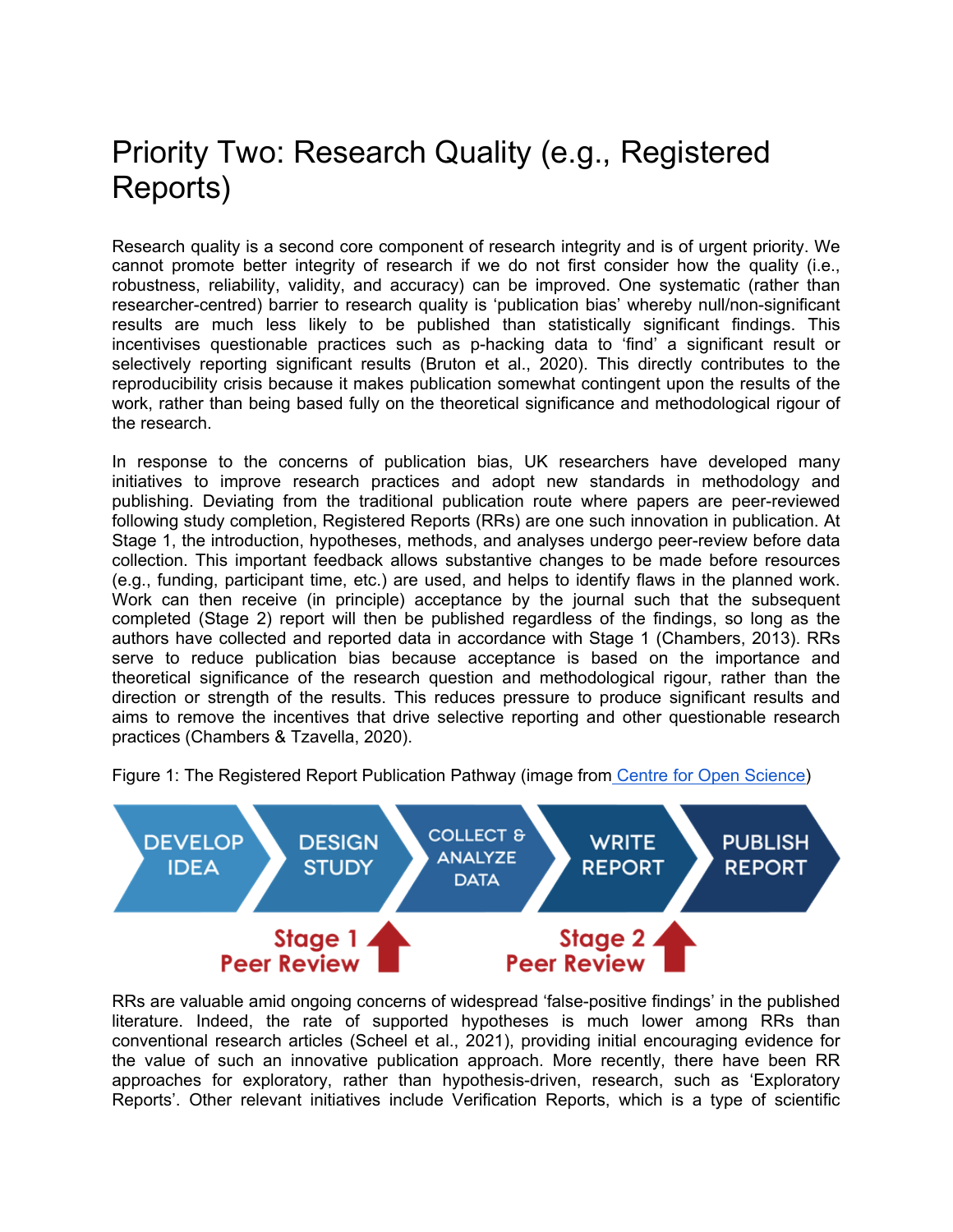### Priority Two: Research Quality (e.g., Registered Reports)

Research quality is a second core component of research integrity and is of urgent priority. We cannot promote better integrity of research if we do not first consider how the quality (i.e., robustness, reliability, validity, and accuracy) can be improved. One systematic (rather than researcher-centred) barrier to research quality is 'publication bias' whereby null/non-significant results are much less likely to be published than statistically significant findings. This incentivises questionable practices such as p-hacking data to 'find' a significant result or selectively reporting significant results (Bruton et al., 2020). This directly contributes to the reproducibility crisis because it makes publication somewhat contingent upon the results of the work, rather than being based fully on the theoretical significance and methodological rigour of the research.

In response to the concerns of publication bias, UK researchers have developed many initiatives to improve research practices and adopt new standards in methodology and publishing. Deviating from the traditional publication route where papers are peer-reviewed following study completion, Registered Reports (RRs) are one such innovation in publication. At Stage 1, the introduction, hypotheses, methods, and analyses undergo peer-review before data collection. This important feedback allows substantive changes to be made before resources (e.g., funding, participant time, etc.) are used, and helps to identify flaws in the planned work. Work can then receive (in principle) acceptance by the journal such that the subsequent completed (Stage 2) report will then be published regardless of the findings, so long as the authors have collected and reported data in accordance with Stage 1 (Chambers, 2013). RRs serve to reduce publication bias because acceptance is based on the importance and theoretical significance of the research question and methodological rigour, rather than the direction or strength of the results. This reduces pressure to produce significant results and aims to remove the incentives that drive selective reporting and other questionable research practices (Chambers & Tzavella, 2020).

Figure 1: The Registered Report Publication Pathway (image from [Centre](https://www.cos.io/initiatives/registered-reports) [for](https://www.cos.io/initiatives/registered-reports) [Open](https://www.cos.io/initiatives/registered-reports) [Science\)](https://www.cos.io/initiatives/registered-reports)



RRs are valuable amid ongoing concerns of widespread 'false-positive findings' in the published literature. Indeed, the rate of supported hypotheses is much lower among RRs than conventional research articles (Scheel et al., 2021), providing initial encouraging evidence for the value of such an innovative publication approach. More recently, there have been RR approaches for exploratory, rather than hypothesis-driven, research, such as 'Exploratory Reports'. Other relevant initiatives include Verification Reports, which is a type of scientific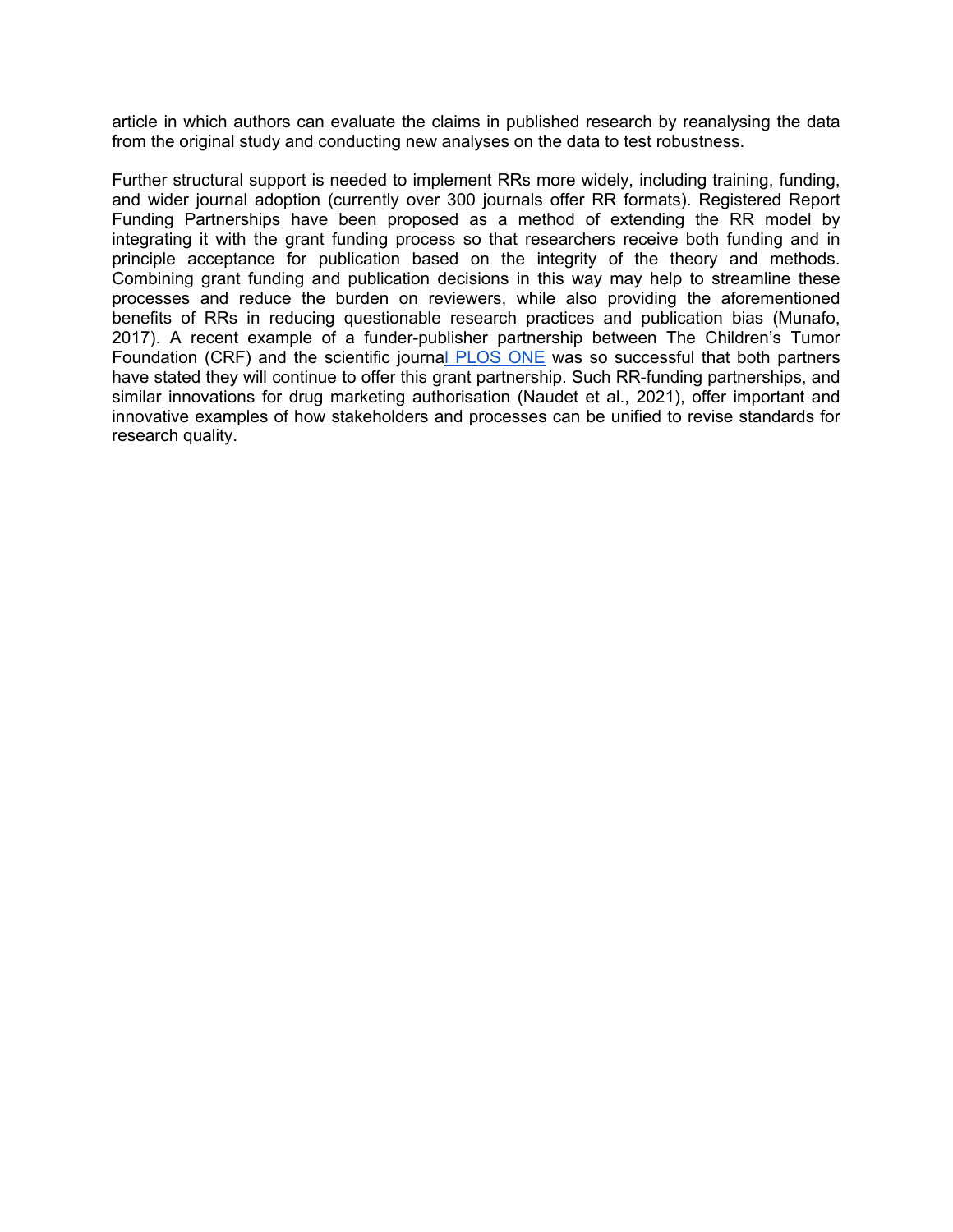article in which authors can evaluate the claims in published research by reanalysing the data from the original study and conducting new analyses on the data to test robustness.

Further structural support is needed to implement RRs more widely, including training, funding, and wider journal adoption (currently over 300 journals offer RR formats). Registered Report Funding Partnerships have been proposed as a method of extending the RR model by integrating it with the grant funding process so that researchers receive both funding and in principle acceptance for publication based on the integrity of the theory and methods. Combining grant funding and publication decisions in this way may help to streamline these processes and reduce the burden on reviewers, while also providing the aforementioned benefits of RRs in reducing questionable research practices and publication bias (Munafo, 2017). A recent example of a funder-publisher partnership between The Children's Tumor Foundation (CRF) and the scientific journa[l](https://theplosblog.plos.org/2020/11/plos-one-issues-first-publication-from-childrens-tumor-foundation-partnership/)) [PLOS](https://theplosblog.plos.org/2020/11/plos-one-issues-first-publication-from-childrens-tumor-foundation-partnership/)) [ONE](https://theplosblog.plos.org/2020/11/plos-one-issues-first-publication-from-childrens-tumor-foundation-partnership/)) was so successful that both partners have stated they will continue to offer this grant partnership. Such RR-funding partnerships, and similar innovations for drug marketing authorisation (Naudet et al., 2021), offer important and innovative examples of how stakeholders and processes can be unified to revise standards for research quality.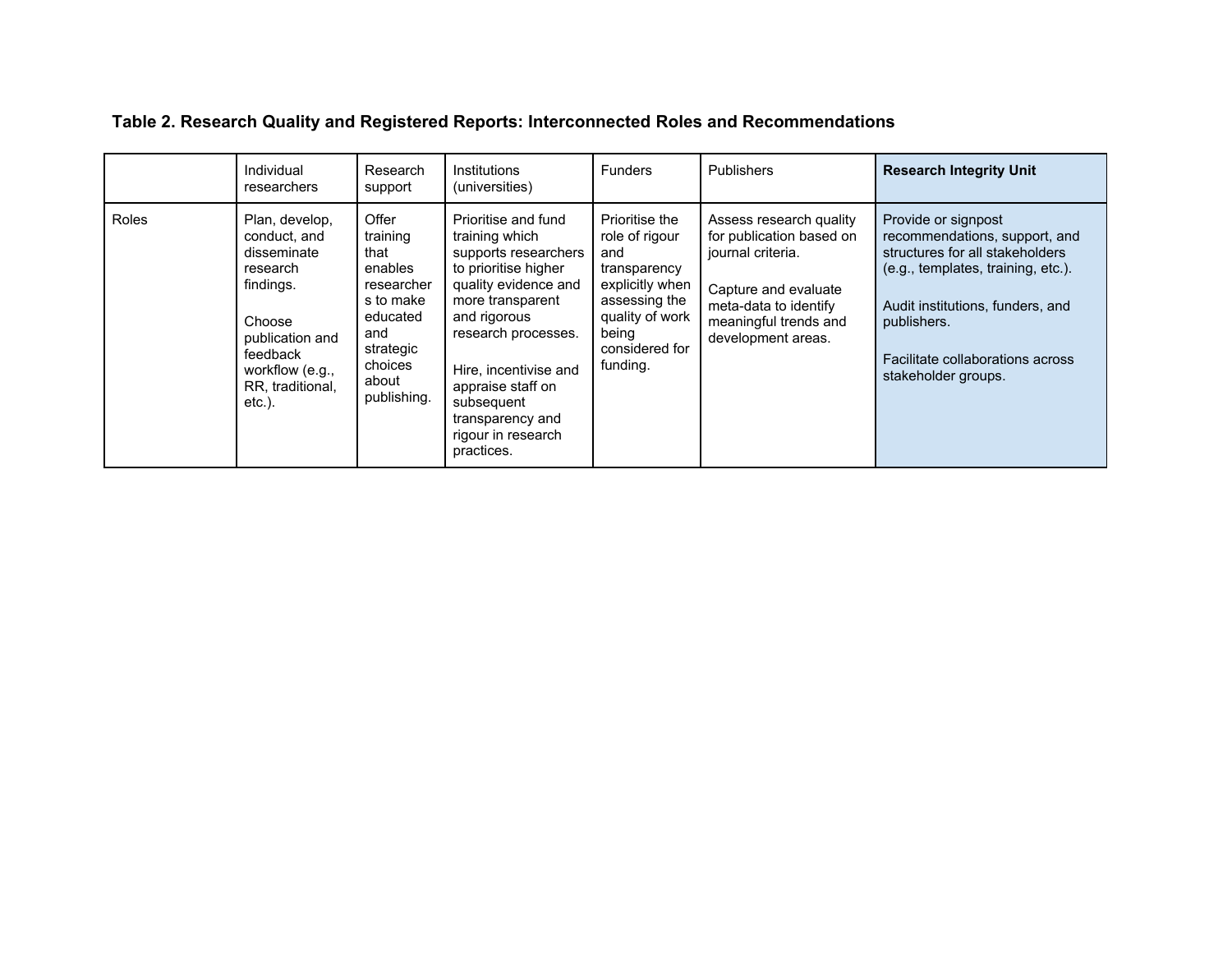#### **Table 2. Research Quality and Registered Reports: Interconnected Roles and Recommendations**

|       | Individual<br>researchers                                                                                                                                           | Research<br>support                                                                                                                | Institutions<br>(universities)                                                                                                                                                                                                                                                               | <b>Funders</b>                                                                                                                                        | <b>Publishers</b>                                                                                                                                                        | <b>Research Integrity Unit</b>                                                                                                                                                                                                              |
|-------|---------------------------------------------------------------------------------------------------------------------------------------------------------------------|------------------------------------------------------------------------------------------------------------------------------------|----------------------------------------------------------------------------------------------------------------------------------------------------------------------------------------------------------------------------------------------------------------------------------------------|-------------------------------------------------------------------------------------------------------------------------------------------------------|--------------------------------------------------------------------------------------------------------------------------------------------------------------------------|---------------------------------------------------------------------------------------------------------------------------------------------------------------------------------------------------------------------------------------------|
| Roles | Plan, develop,<br>conduct, and<br>disseminate<br>research<br>findings.<br>Choose<br>publication and<br>feedback<br>workflow (e.g.,<br>RR, traditional,<br>$etc.$ ). | Offer<br>training<br>that<br>enables<br>researcher<br>s to make<br>educated<br>and<br>strategic<br>choices<br>about<br>publishing. | Prioritise and fund<br>training which<br>supports researchers<br>to prioritise higher<br>quality evidence and<br>more transparent<br>and rigorous<br>research processes.<br>Hire, incentivise and<br>appraise staff on<br>subsequent<br>transparency and<br>rigour in research<br>practices. | Prioritise the<br>role of rigour<br>and<br>transparency<br>explicitly when<br>assessing the<br>quality of work<br>being<br>considered for<br>funding. | Assess research quality<br>for publication based on<br>journal criteria.<br>Capture and evaluate<br>meta-data to identify<br>meaningful trends and<br>development areas. | Provide or signpost<br>recommendations, support, and<br>structures for all stakeholders<br>(e.g., templates, training, etc.).<br>Audit institutions, funders, and<br>publishers.<br>Facilitate collaborations across<br>stakeholder groups. |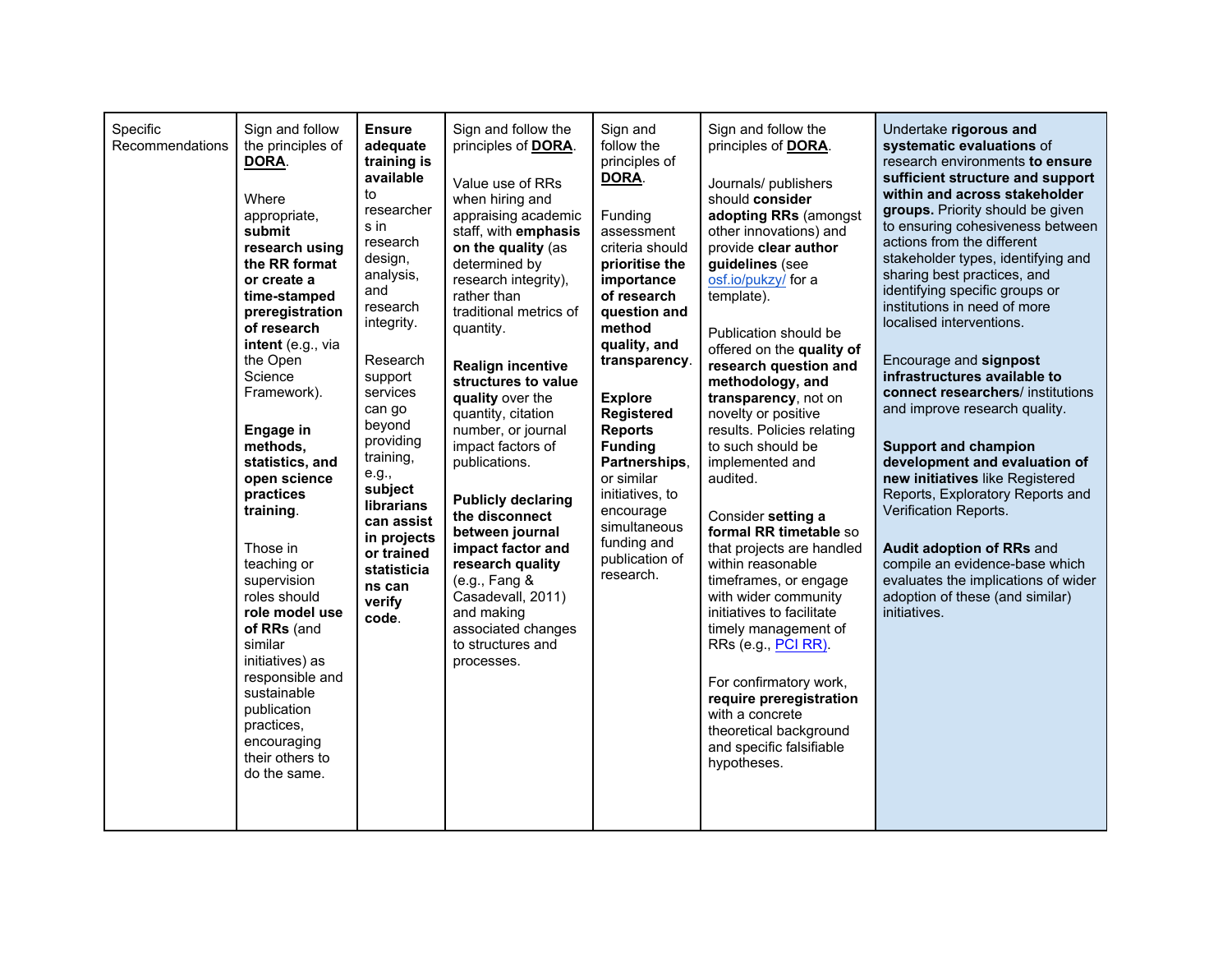| Specific<br>Recommendations | Sign and follow<br>the principles of<br>DORA.<br>Where<br>appropriate,<br>submit<br>research using<br>the RR format<br>or create a<br>time-stamped<br>preregistration<br>of research<br>intent (e.g., via<br>the Open<br>Science<br>Framework).<br><b>Engage in</b><br>methods,<br>statistics, and<br>open science<br>practices<br>training.<br>Those in<br>teaching or<br>supervision<br>roles should<br>role model use<br>of RRs (and<br>similar<br>initiatives) as<br>responsible and<br>sustainable<br>publication<br>practices,<br>encouraging<br>their others to<br>do the same. | <b>Ensure</b><br>adequate<br>training is<br>available<br>to<br>researcher<br>s in<br>research<br>design,<br>analysis,<br>and<br>research<br>integrity.<br>Research<br>support<br>services<br>can go<br>beyond<br>providing<br>training,<br>e.g.,<br>subject<br><b>librarians</b><br>can assist<br>in projects<br>or trained<br>statisticia<br>ns can<br>verify<br>code. | Sign and follow the<br>principles of DORA.<br>Value use of RRs<br>when hiring and<br>appraising academic<br>staff, with emphasis<br>on the quality (as<br>determined by<br>research integrity),<br>rather than<br>traditional metrics of<br>quantity.<br><b>Realign incentive</b><br>structures to value<br>quality over the<br>quantity, citation<br>number, or journal<br>impact factors of<br>publications.<br><b>Publicly declaring</b><br>the disconnect<br>between journal<br>impact factor and<br>research quality<br>(e.g., Fang &<br>Casadevall, 2011)<br>and making<br>associated changes<br>to structures and<br>processes. | Sign and<br>follow the<br>principles of<br>DORA.<br>Funding<br>assessment<br>criteria should<br>prioritise the<br>importance<br>of research<br>question and<br>method<br>quality, and<br>transparency.<br><b>Explore</b><br><b>Registered</b><br><b>Reports</b><br><b>Funding</b><br>Partnerships,<br>or similar<br>initiatives, to<br>encourage<br>simultaneous<br>funding and<br>publication of<br>research. | Sign and follow the<br>principles of DORA.<br>Journals/ publishers<br>should consider<br>adopting RRs (amongst<br>other innovations) and<br>provide clear author<br>guidelines (see<br>osf.io/pukzy/ for a<br>template).<br>Publication should be<br>offered on the quality of<br>research question and<br>methodology, and<br>transparency, not on<br>novelty or positive<br>results. Policies relating<br>to such should be<br>implemented and<br>audited.<br>Consider setting a<br>formal RR timetable so<br>that projects are handled<br>within reasonable<br>timeframes, or engage<br>with wider community<br>initiatives to facilitate<br>timely management of<br>RRs (e.g., PCI RR).<br>For confirmatory work,<br>require preregistration<br>with a concrete<br>theoretical background<br>and specific falsifiable<br>hypotheses. | Undertake rigorous and<br>systematic evaluations of<br>research environments to ensure<br>sufficient structure and support<br>within and across stakeholder<br>groups. Priority should be given<br>to ensuring cohesiveness between<br>actions from the different<br>stakeholder types, identifying and<br>sharing best practices, and<br>identifying specific groups or<br>institutions in need of more<br>localised interventions.<br>Encourage and signpost<br>infrastructures available to<br>connect researchers/ institutions<br>and improve research quality.<br><b>Support and champion</b><br>development and evaluation of<br>new initiatives like Registered<br>Reports, Exploratory Reports and<br>Verification Reports.<br>Audit adoption of RRs and<br>compile an evidence-base which<br>evaluates the implications of wider<br>adoption of these (and similar)<br>initiatives. |
|-----------------------------|----------------------------------------------------------------------------------------------------------------------------------------------------------------------------------------------------------------------------------------------------------------------------------------------------------------------------------------------------------------------------------------------------------------------------------------------------------------------------------------------------------------------------------------------------------------------------------------|-------------------------------------------------------------------------------------------------------------------------------------------------------------------------------------------------------------------------------------------------------------------------------------------------------------------------------------------------------------------------|----------------------------------------------------------------------------------------------------------------------------------------------------------------------------------------------------------------------------------------------------------------------------------------------------------------------------------------------------------------------------------------------------------------------------------------------------------------------------------------------------------------------------------------------------------------------------------------------------------------------------------------|----------------------------------------------------------------------------------------------------------------------------------------------------------------------------------------------------------------------------------------------------------------------------------------------------------------------------------------------------------------------------------------------------------------|------------------------------------------------------------------------------------------------------------------------------------------------------------------------------------------------------------------------------------------------------------------------------------------------------------------------------------------------------------------------------------------------------------------------------------------------------------------------------------------------------------------------------------------------------------------------------------------------------------------------------------------------------------------------------------------------------------------------------------------------------------------------------------------------------------------------------------------|-----------------------------------------------------------------------------------------------------------------------------------------------------------------------------------------------------------------------------------------------------------------------------------------------------------------------------------------------------------------------------------------------------------------------------------------------------------------------------------------------------------------------------------------------------------------------------------------------------------------------------------------------------------------------------------------------------------------------------------------------------------------------------------------------------------------------------------------------------------------------------------------------|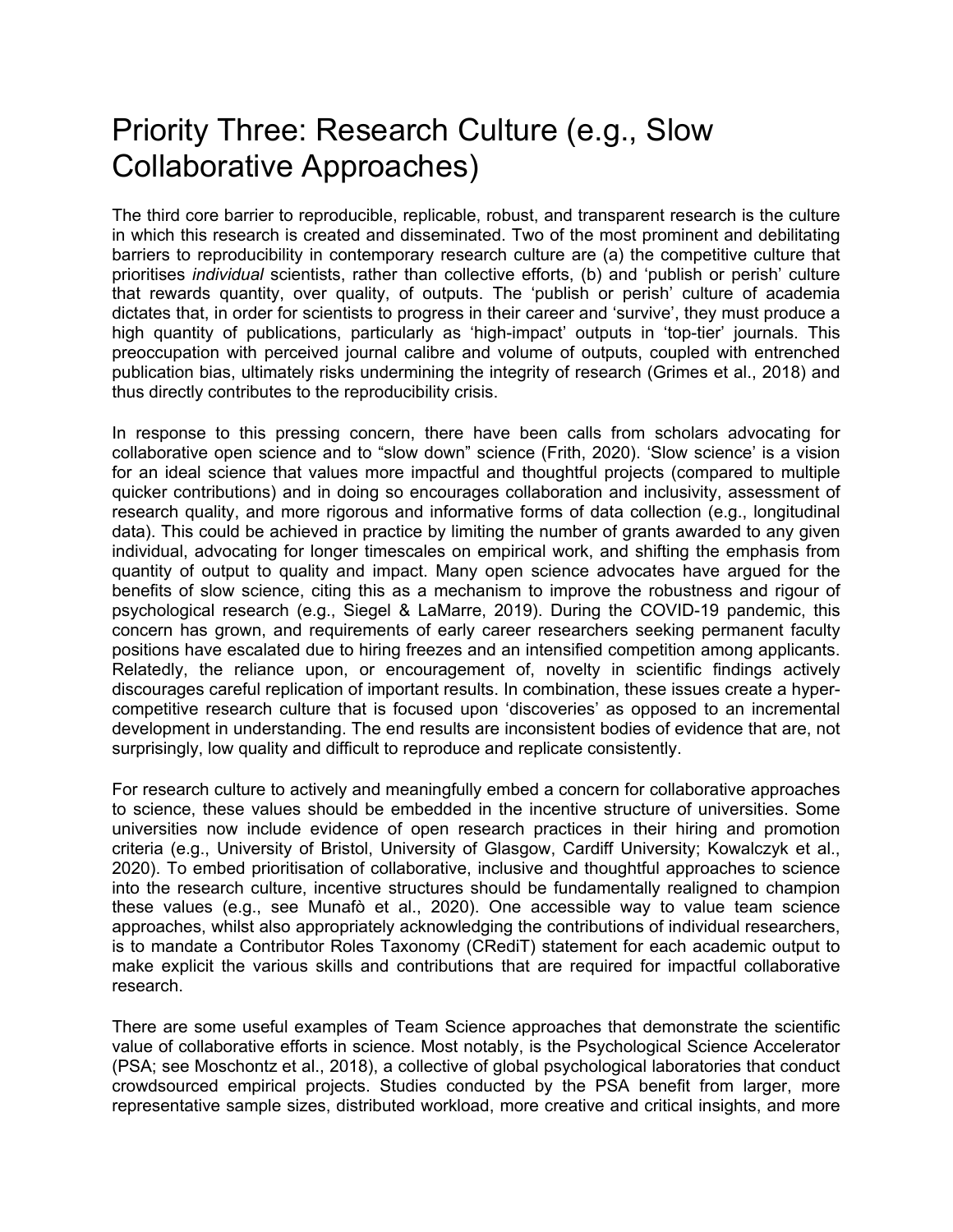# Priority Three: Research Culture (e.g., Slow Collaborative Approaches)

The third core barrier to reproducible, replicable, robust, and transparent research is the culture in which this research is created and disseminated. Two of the most prominent and debilitating barriers to reproducibility in contemporary research culture are (a) the competitive culture that prioritises *individual* scientists, rather than collective efforts, (b) and 'publish or perish' culture that rewards quantity, over quality, of outputs. The 'publish or perish' culture of academia dictates that, in order for scientists to progress in their career and 'survive', they must produce a high quantity of publications, particularly as 'high-impact' outputs in 'top-tier' journals. This preoccupation with perceived journal calibre and volume of outputs, coupled with entrenched publication bias, ultimately risks undermining the integrity of research (Grimes et al., 2018) and thus directly contributes to the reproducibility crisis.

In response to this pressing concern, there have been calls from scholars advocating for collaborative open science and to "slow down" science (Frith, 2020). 'Slow science' is a vision for an ideal science that values more impactful and thoughtful projects (compared to multiple quicker contributions) and in doing so encourages collaboration and inclusivity, assessment of research quality, and more rigorous and informative forms of data collection (e.g., longitudinal data). This could be achieved in practice by limiting the number of grants awarded to any given individual, advocating for longer timescales on empirical work, and shifting the emphasis from quantity of output to quality and impact. Many open science advocates have argued for the benefits of slow science, citing this as a mechanism to improve the robustness and rigour of psychological research (e.g., Siegel & LaMarre, 2019). During the COVID-19 pandemic, this concern has grown, and requirements of early career researchers seeking permanent faculty positions have escalated due to hiring freezes and an intensified competition among applicants. Relatedly, the reliance upon, or encouragement of, novelty in scientific findings actively discourages careful replication of important results. In combination, these issues create a hypercompetitive research culture that is focused upon 'discoveries' as opposed to an incremental development in understanding. The end results are inconsistent bodies of evidence that are, not surprisingly, low quality and difficult to reproduce and replicate consistently.

For research culture to actively and meaningfully embed a concern for collaborative approaches to science, these values should be embedded in the incentive structure of universities. Some universities now include evidence of open research practices in their hiring and promotion criteria (e.g., University of Bristol, University of Glasgow, Cardiff University; Kowalczyk et al., 2020). To embed prioritisation of collaborative, inclusive and thoughtful approaches to science into the research culture, incentive structures should be fundamentally realigned to champion these values (e.g., see Munafò et al., 2020). One accessible way to value team science approaches, whilst also appropriately acknowledging the contributions of individual researchers, is to mandate a Contributor Roles Taxonomy (CRediT) statement for each academic output to make explicit the various skills and contributions that are required for impactful collaborative research.

There are some useful examples of Team Science approaches that demonstrate the scientific value of collaborative efforts in science. Most notably, is the Psychological Science Accelerator (PSA; see Moschontz et al., 2018), a collective of global psychological laboratories that conduct crowdsourced empirical projects. Studies conducted by the PSA benefit from larger, more representative sample sizes, distributed workload, more creative and critical insights, and more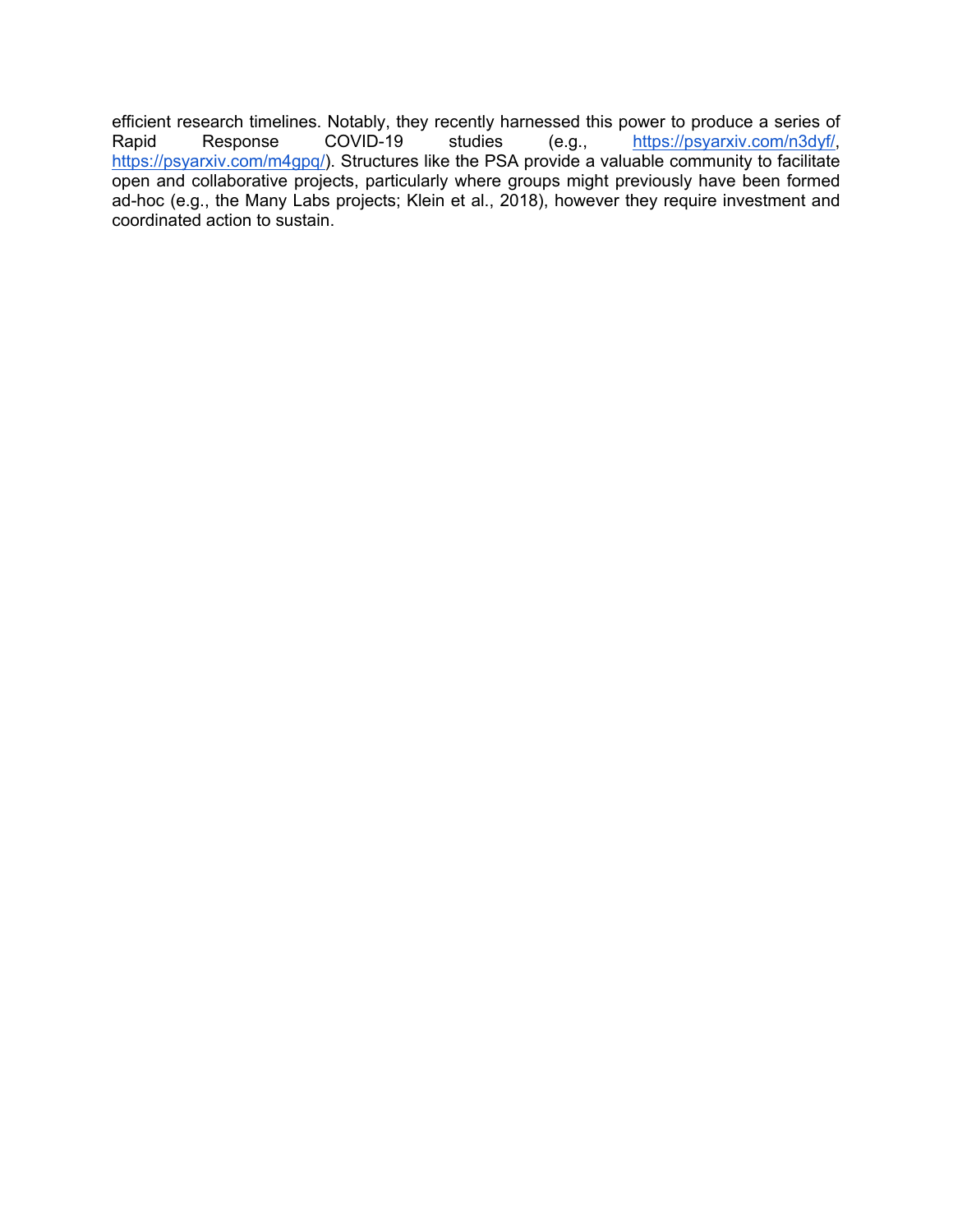efficient research timelines. Notably, they recently harnessed this power to produce a series of Rapid Response COVID-19 studies (e.g., [https://psyarxiv.com/n3dyf/,](https://psyarxiv.com/n3dyf/) [https://psyarxiv.com/m4gpq/\)](https://psyarxiv.com/m4gpq/). Structures like the PSA provide a valuable community to facilitate open and collaborative projects, particularly where groups might previously have been formed ad-hoc (e.g., the Many Labs projects; Klein et al., 2018), however they require investment and coordinated action to sustain.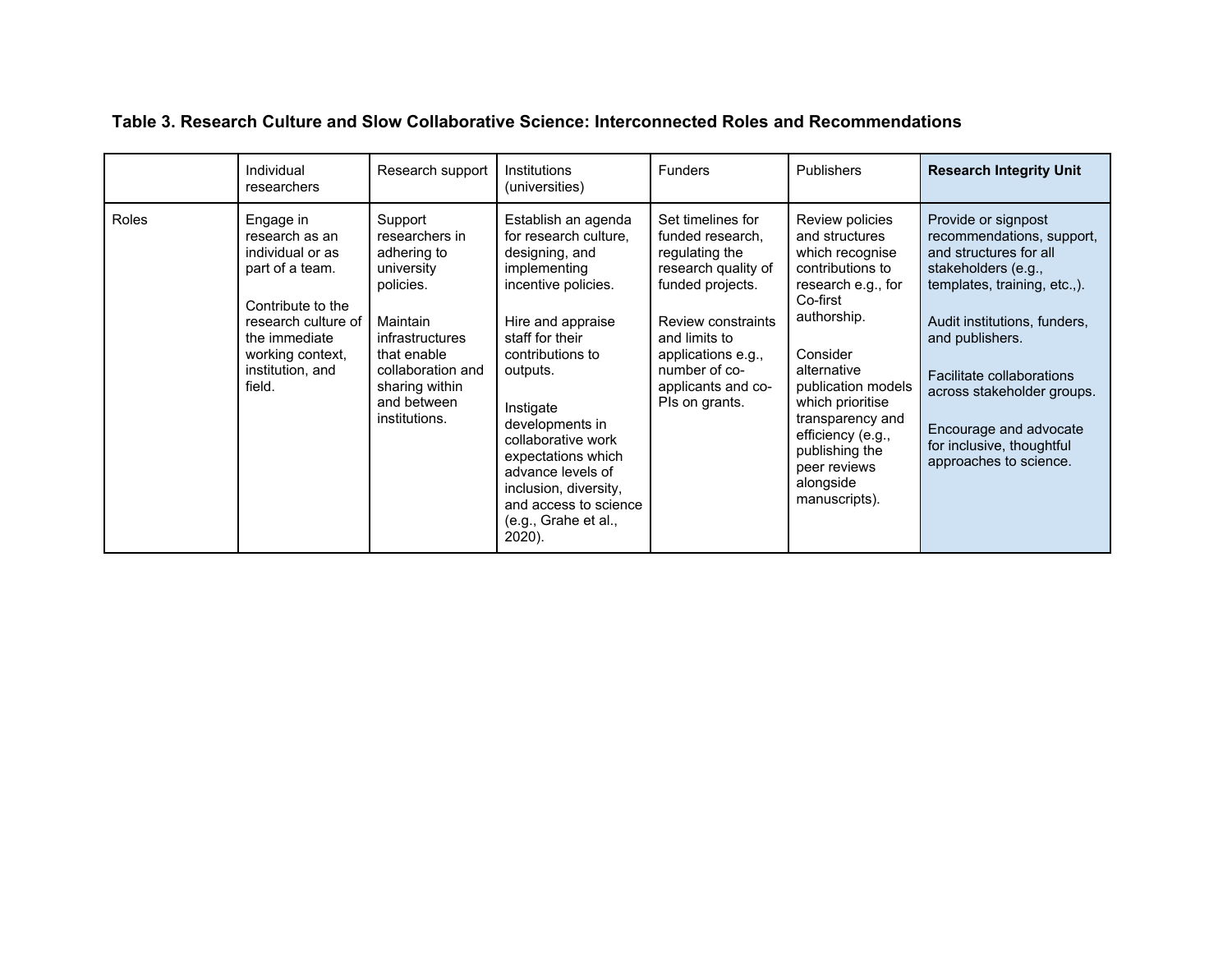|       | Individual<br>researchers                                                                                                                                                         | Research support                                                                                                                                                                                | <b>Institutions</b><br>(universities)                                                                                                                                                                                                                                                                                                                              | <b>Funders</b>                                                                                                                                                                                                           | <b>Publishers</b>                                                                                                                                                                                                                                                                                       | <b>Research Integrity Unit</b>                                                                                                                                                                                                                                                                                                   |
|-------|-----------------------------------------------------------------------------------------------------------------------------------------------------------------------------------|-------------------------------------------------------------------------------------------------------------------------------------------------------------------------------------------------|--------------------------------------------------------------------------------------------------------------------------------------------------------------------------------------------------------------------------------------------------------------------------------------------------------------------------------------------------------------------|--------------------------------------------------------------------------------------------------------------------------------------------------------------------------------------------------------------------------|---------------------------------------------------------------------------------------------------------------------------------------------------------------------------------------------------------------------------------------------------------------------------------------------------------|----------------------------------------------------------------------------------------------------------------------------------------------------------------------------------------------------------------------------------------------------------------------------------------------------------------------------------|
| Roles | Engage in<br>research as an<br>individual or as<br>part of a team.<br>Contribute to the<br>research culture of<br>the immediate<br>working context,<br>institution, and<br>field. | Support<br>researchers in<br>adhering to<br>university<br>policies.<br>Maintain<br><i>infrastructures</i><br>that enable<br>collaboration and<br>sharing within<br>and between<br>institutions. | Establish an agenda<br>for research culture.<br>designing, and<br>implementing<br>incentive policies.<br>Hire and appraise<br>staff for their<br>contributions to<br>outputs.<br>Instigate<br>developments in<br>collaborative work<br>expectations which<br>advance levels of<br>inclusion, diversity,<br>and access to science<br>(e.g., Grahe et al.,<br>2020). | Set timelines for<br>funded research,<br>regulating the<br>research quality of<br>funded projects.<br>Review constraints<br>and limits to<br>applications e.g.,<br>number of co-<br>applicants and co-<br>Pls on grants. | Review policies<br>and structures<br>which recognise<br>contributions to<br>research e.g., for<br>Co-first<br>authorship.<br>Consider<br>alternative<br>publication models<br>which prioritise<br>transparency and<br>efficiency (e.g.,<br>publishing the<br>peer reviews<br>alongside<br>manuscripts). | Provide or signpost<br>recommendations, support,<br>and structures for all<br>stakeholders (e.g.,<br>templates, training, etc.,).<br>Audit institutions, funders,<br>and publishers.<br>Facilitate collaborations<br>across stakeholder groups.<br>Encourage and advocate<br>for inclusive, thoughtful<br>approaches to science. |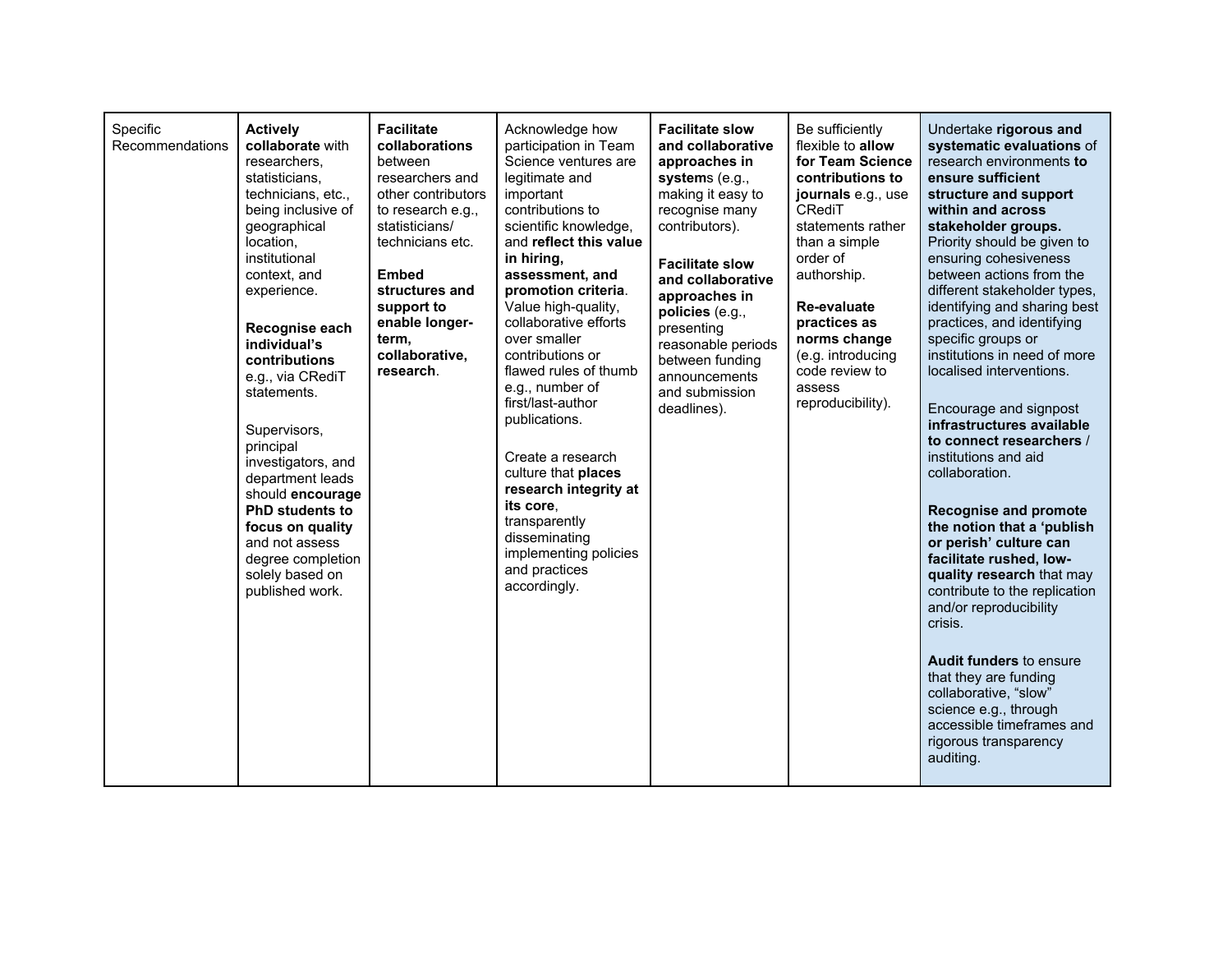| Specific<br>Recommendations | <b>Actively</b><br>collaborate with<br>researchers.<br>statisticians.<br>technicians, etc.,<br>being inclusive of<br>geographical<br>location.<br>institutional<br>context, and<br>experience.<br>Recognise each<br>individual's<br>contributions<br>e.g., via CRediT<br>statements.<br>Supervisors,<br>principal<br>investigators, and<br>department leads<br>should encourage<br><b>PhD students to</b><br>focus on quality<br>and not assess<br>degree completion<br>solely based on<br>published work. | <b>Facilitate</b><br>collaborations<br>between<br>researchers and<br>other contributors<br>to research e.g.,<br>statisticians/<br>technicians etc.<br><b>Embed</b><br>structures and<br>support to<br>enable longer-<br>term,<br>collaborative,<br>research. | Acknowledge how<br>participation in Team<br>Science ventures are<br>legitimate and<br>important<br>contributions to<br>scientific knowledge,<br>and reflect this value<br>in hiring,<br>assessment, and<br>promotion criteria.<br>Value high-quality,<br>collaborative efforts<br>over smaller<br>contributions or<br>flawed rules of thumb<br>e.g., number of<br>first/last-author<br>publications.<br>Create a research<br>culture that places<br>research integrity at<br>its core,<br>transparently<br>disseminating<br>implementing policies<br>and practices<br>accordingly. | <b>Facilitate slow</b><br>and collaborative<br>approaches in<br>systems $(e.g.,$<br>making it easy to<br>recognise many<br>contributors).<br><b>Facilitate slow</b><br>and collaborative<br>approaches in<br>policies (e.g.,<br>presenting<br>reasonable periods<br>between funding<br>announcements<br>and submission<br>deadlines). | Be sufficiently<br>flexible to allow<br>for Team Science<br>contributions to<br>journals e.g., use<br>CRediT<br>statements rather<br>than a simple<br>order of<br>authorship.<br>Re-evaluate<br>practices as<br>norms change<br>(e.g. introducing<br>code review to<br>assess<br>reproducibility). | Undertake rigorous and<br>systematic evaluations of<br>research environments to<br>ensure sufficient<br>structure and support<br>within and across<br>stakeholder groups.<br>Priority should be given to<br>ensuring cohesiveness<br>between actions from the<br>different stakeholder types,<br>identifying and sharing best<br>practices, and identifying<br>specific groups or<br>institutions in need of more<br>localised interventions.<br>Encourage and signpost<br>infrastructures available<br>to connect researchers /<br>institutions and aid<br>collaboration.<br><b>Recognise and promote</b><br>the notion that a 'publish<br>or perish' culture can<br>facilitate rushed, low-<br>quality research that may<br>contribute to the replication<br>and/or reproducibility<br>crisis.<br><b>Audit funders to ensure</b><br>that they are funding<br>collaborative, "slow"<br>science e.g., through<br>accessible timeframes and<br>rigorous transparency<br>auditing. |
|-----------------------------|------------------------------------------------------------------------------------------------------------------------------------------------------------------------------------------------------------------------------------------------------------------------------------------------------------------------------------------------------------------------------------------------------------------------------------------------------------------------------------------------------------|--------------------------------------------------------------------------------------------------------------------------------------------------------------------------------------------------------------------------------------------------------------|------------------------------------------------------------------------------------------------------------------------------------------------------------------------------------------------------------------------------------------------------------------------------------------------------------------------------------------------------------------------------------------------------------------------------------------------------------------------------------------------------------------------------------------------------------------------------------|---------------------------------------------------------------------------------------------------------------------------------------------------------------------------------------------------------------------------------------------------------------------------------------------------------------------------------------|----------------------------------------------------------------------------------------------------------------------------------------------------------------------------------------------------------------------------------------------------------------------------------------------------|----------------------------------------------------------------------------------------------------------------------------------------------------------------------------------------------------------------------------------------------------------------------------------------------------------------------------------------------------------------------------------------------------------------------------------------------------------------------------------------------------------------------------------------------------------------------------------------------------------------------------------------------------------------------------------------------------------------------------------------------------------------------------------------------------------------------------------------------------------------------------------------------------------------------------------------------------------------------------------|
|-----------------------------|------------------------------------------------------------------------------------------------------------------------------------------------------------------------------------------------------------------------------------------------------------------------------------------------------------------------------------------------------------------------------------------------------------------------------------------------------------------------------------------------------------|--------------------------------------------------------------------------------------------------------------------------------------------------------------------------------------------------------------------------------------------------------------|------------------------------------------------------------------------------------------------------------------------------------------------------------------------------------------------------------------------------------------------------------------------------------------------------------------------------------------------------------------------------------------------------------------------------------------------------------------------------------------------------------------------------------------------------------------------------------|---------------------------------------------------------------------------------------------------------------------------------------------------------------------------------------------------------------------------------------------------------------------------------------------------------------------------------------|----------------------------------------------------------------------------------------------------------------------------------------------------------------------------------------------------------------------------------------------------------------------------------------------------|----------------------------------------------------------------------------------------------------------------------------------------------------------------------------------------------------------------------------------------------------------------------------------------------------------------------------------------------------------------------------------------------------------------------------------------------------------------------------------------------------------------------------------------------------------------------------------------------------------------------------------------------------------------------------------------------------------------------------------------------------------------------------------------------------------------------------------------------------------------------------------------------------------------------------------------------------------------------------------|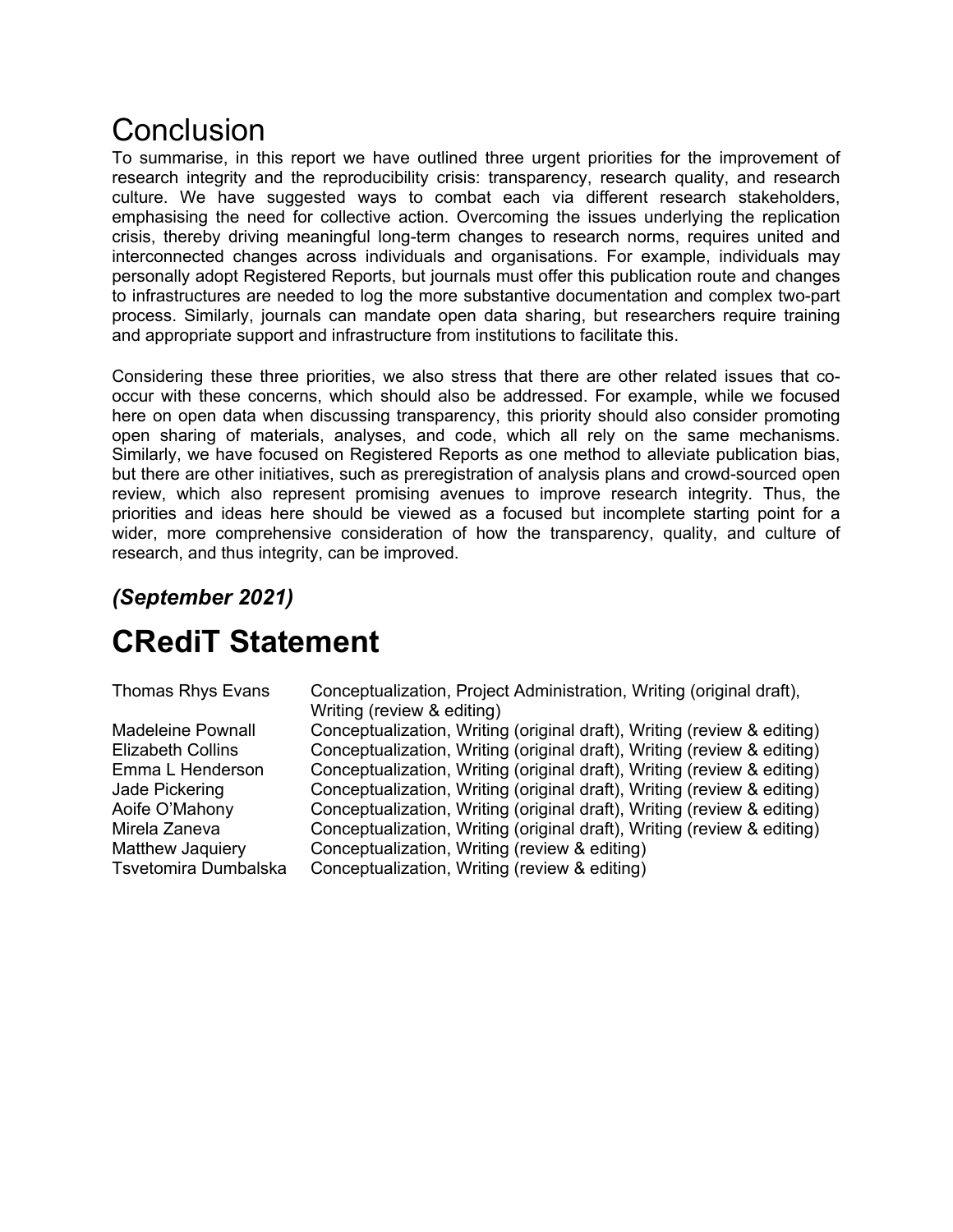# Conclusion

To summarise, in this report we have outlined three urgent priorities for the improvement of research integrity and the reproducibility crisis: transparency, research quality, and research culture. We have suggested ways to combat each via different research stakeholders, emphasising the need for collective action. Overcoming the issues underlying the replication crisis, thereby driving meaningful long-term changes to research norms, requires united and interconnected changes across individuals and organisations. For example, individuals may personally adopt Registered Reports, but journals must offer this publication route and changes to infrastructures are needed to log the more substantive documentation and complex two-part process. Similarly, journals can mandate open data sharing, but researchers require training and appropriate support and infrastructure from institutions to facilitate this.

Considering these three priorities, we also stress that there are other related issues that cooccur with these concerns, which should also be addressed. For example, while we focused here on open data when discussing transparency, this priority should also consider promoting open sharing of materials, analyses, and code, which all rely on the same mechanisms. Similarly, we have focused on Registered Reports as one method to alleviate publication bias, but there are other initiatives, such as preregistration of analysis plans and crowd-sourced open review, which also represent promising avenues to improve research integrity. Thus, the priorities and ideas here should be viewed as a focused but incomplete starting point for a wider, more comprehensive consideration of how the transparency, quality, and culture of research, and thus integrity, can be improved.

### *(September 2021)*

# **CRediT Statement**

| Thomas Rhys Evans        | Conceptualization, Project Administration, Writing (original draft),<br>Writing (review & editing) |
|--------------------------|----------------------------------------------------------------------------------------------------|
| <b>Madeleine Pownall</b> | Conceptualization, Writing (original draft), Writing (review & editing)                            |
| Elizabeth Collins        | Conceptualization, Writing (original draft), Writing (review & editing)                            |
| Emma L Henderson         | Conceptualization, Writing (original draft), Writing (review & editing)                            |
| Jade Pickering           | Conceptualization, Writing (original draft), Writing (review & editing)                            |
| Aoife O'Mahony           | Conceptualization, Writing (original draft), Writing (review & editing)                            |
| Mirela Zaneva            | Conceptualization, Writing (original draft), Writing (review & editing)                            |
| Matthew Jaquiery         | Conceptualization, Writing (review & editing)                                                      |
| Tsvetomira Dumbalska     | Conceptualization, Writing (review & editing)                                                      |
|                          |                                                                                                    |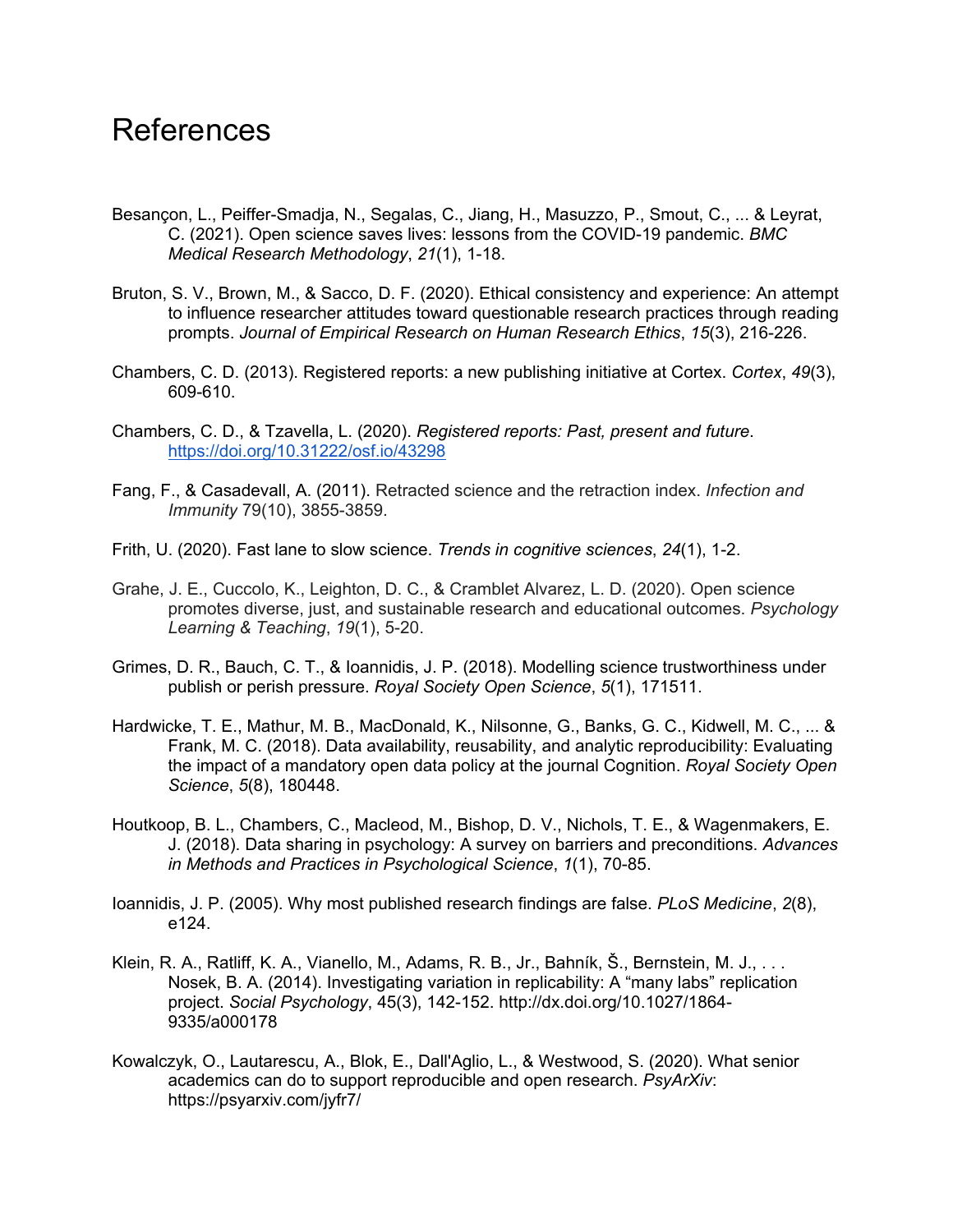### References

- Besançon, L., Peiffer-Smadja, N., Segalas, C., Jiang, H., Masuzzo, P., Smout, C., ... & Leyrat, C. (2021). Open science saves lives: lessons from the COVID-19 pandemic. *BMC Medical Research Methodology*, *21*(1), 1-18.
- Bruton, S. V., Brown, M., & Sacco, D. F. (2020). Ethical consistency and experience: An attempt to influence researcher attitudes toward questionable research practices through reading prompts. *Journal of Empirical Research on Human Research Ethics*, *15*(3), 216-226.
- Chambers, C. D. (2013). Registered reports: a new publishing initiative at Cortex. *Cortex*, *49*(3), 609-610.
- Chambers, C. D., & Tzavella, L. (2020). *Registered reports: Past, present and future*. <https://doi.org/10.31222/osf.io/43298>
- Fang, F., & Casadevall, A. (2011). Retracted science and the retraction index. *Infection and Immunity* 79(10), 3855-3859.
- Frith, U. (2020). Fast lane to slow science. *Trends in cognitive sciences*, *24*(1), 1-2.
- Grahe, J. E., Cuccolo, K., Leighton, D. C., & Cramblet Alvarez, L. D. (2020). Open science promotes diverse, just, and sustainable research and educational outcomes. *Psychology Learning & Teaching*, *19*(1), 5-20.
- Grimes, D. R., Bauch, C. T., & Ioannidis, J. P. (2018). Modelling science trustworthiness under publish or perish pressure. *Royal Society Open Science*, *5*(1), 171511.
- Hardwicke, T. E., Mathur, M. B., MacDonald, K., Nilsonne, G., Banks, G. C., Kidwell, M. C., ... & Frank, M. C. (2018). Data availability, reusability, and analytic reproducibility: Evaluating the impact of a mandatory open data policy at the journal Cognition. *Royal Society Open Science*, *5*(8), 180448.
- Houtkoop, B. L., Chambers, C., Macleod, M., Bishop, D. V., Nichols, T. E., & Wagenmakers, E. J. (2018). Data sharing in psychology: A survey on barriers and preconditions. *Advances in Methods and Practices in Psychological Science*, *1*(1), 70-85.
- Ioannidis, J. P. (2005). Why most published research findings are false. *PLoS Medicine*, *2*(8), e124.
- Klein, R. A., Ratliff, K. A., Vianello, M., Adams, R. B., Jr., Bahník, Š., Bernstein, M. J., . . . Nosek, B. A. (2014). Investigating variation in replicability: A "many labs" replication project. *Social Psychology*, 45(3), 142-152. http://dx.doi.org/10.1027/1864- 9335/a000178
- Kowalczyk, O., Lautarescu, A., Blok, E., Dall'Aglio, L., & Westwood, S. (2020). What senior academics can do to support reproducible and open research. *PsyArXiv*: https://psyarxiv.com/jyfr7/